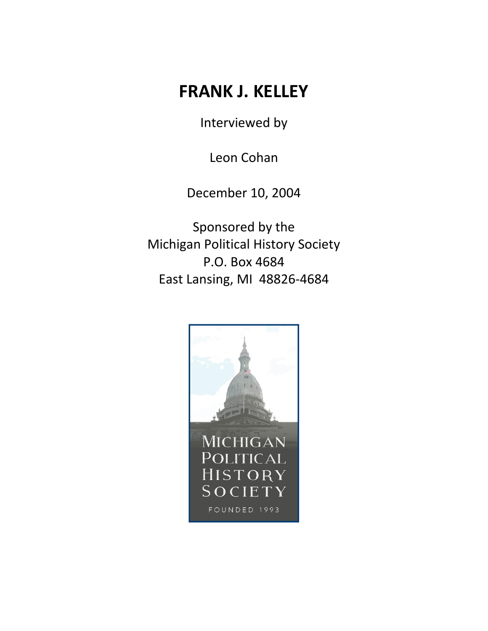## **FRANK J. KELLEY**

Interviewed by

Leon Cohan

December 10, 2004

Sponsored by the Michigan Political History Society P.O. Box 4684 East Lansing, MI 48826-4684

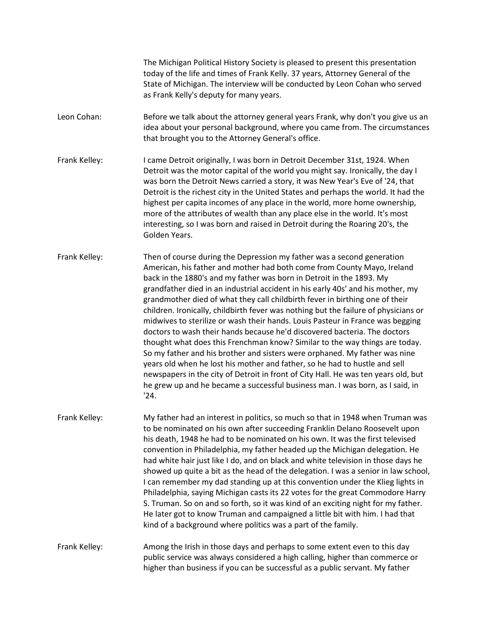The Michigan Political History Society is pleased to present this presentation today of the life and times of Frank Kelly. 37 years, Attorney General of the State of Michigan. The interview will be conducted by Leon Cohan who served as Frank Kelly's deputy for many years.

- Leon Cohan: Before we talk about the attorney general years Frank, why don't you give us an idea about your personal background, where you came from. The circumstances that brought you to the Attorney General's office.
- Frank Kelley: I came Detroit originally, I was born in Detroit December 31st, 1924. When Detroit was the motor capital of the world you might say. Ironically, the day I was born the Detroit News carried a story, it was New Year's Eve of '24, that Detroit is the richest city in the United States and perhaps the world. It had the highest per capita incomes of any place in the world, more home ownership, more of the attributes of wealth than any place else in the world. It's most interesting, so I was born and raised in Detroit during the Roaring 20's, the Golden Years.
- Frank Kelley: Then of course during the Depression my father was a second generation American, his father and mother had both come from County Mayo, Ireland back in the 1880's and my father was born in Detroit in the 1893. My grandfather died in an industrial accident in his early 40s' and his mother, my grandmother died of what they call childbirth fever in birthing one of their children. Ironically, childbirth fever was nothing but the failure of physicians or midwives to sterilize or wash their hands. Louis Pasteur in France was begging doctors to wash their hands because he'd discovered bacteria. The doctors thought what does this Frenchman know? Similar to the way things are today. So my father and his brother and sisters were orphaned. My father was nine years old when he lost his mother and father, so he had to hustle and sell newspapers in the city of Detroit in front of City Hall. He was ten years old, but he grew up and he became a successful business man. I was born, as I said, in '24.
- Frank Kelley: My father had an interest in politics, so much so that in 1948 when Truman was to be nominated on his own after succeeding Franklin Delano Roosevelt upon his death, 1948 he had to be nominated on his own. It was the first televised convention in Philadelphia, my father headed up the Michigan delegation. He had white hair just like I do, and on black and white television in those days he showed up quite a bit as the head of the delegation. I was a senior in law school, I can remember my dad standing up at this convention under the Klieg lights in Philadelphia, saying Michigan casts its 22 votes for the great Commodore Harry S. Truman. So on and so forth, so it was kind of an exciting night for my father. He later got to know Truman and campaigned a little bit with him. I had that kind of a background where politics was a part of the family.

Frank Kelley: Among the Irish in those days and perhaps to some extent even to this day public service was always considered a high calling, higher than commerce or higher than business if you can be successful as a public servant. My father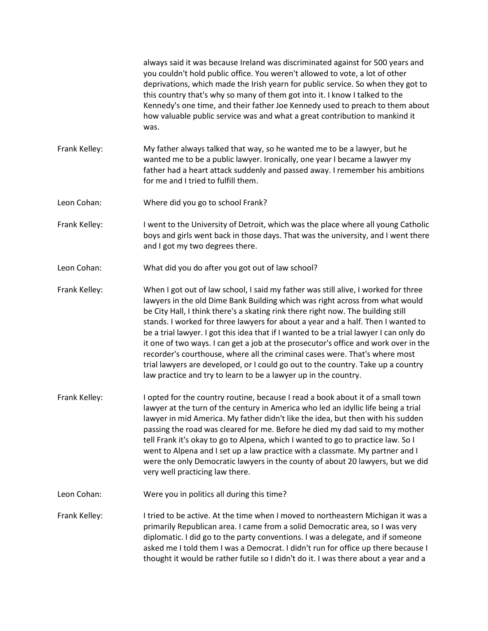|               | always said it was because Ireland was discriminated against for 500 years and<br>you couldn't hold public office. You weren't allowed to vote, a lot of other<br>deprivations, which made the Irish yearn for public service. So when they got to<br>this country that's why so many of them got into it. I know I talked to the<br>Kennedy's one time, and their father Joe Kennedy used to preach to them about<br>how valuable public service was and what a great contribution to mankind it<br>was.                                                                                                                                                                                                                                                         |
|---------------|-------------------------------------------------------------------------------------------------------------------------------------------------------------------------------------------------------------------------------------------------------------------------------------------------------------------------------------------------------------------------------------------------------------------------------------------------------------------------------------------------------------------------------------------------------------------------------------------------------------------------------------------------------------------------------------------------------------------------------------------------------------------|
| Frank Kelley: | My father always talked that way, so he wanted me to be a lawyer, but he<br>wanted me to be a public lawyer. Ironically, one year I became a lawyer my<br>father had a heart attack suddenly and passed away. I remember his ambitions<br>for me and I tried to fulfill them.                                                                                                                                                                                                                                                                                                                                                                                                                                                                                     |
| Leon Cohan:   | Where did you go to school Frank?                                                                                                                                                                                                                                                                                                                                                                                                                                                                                                                                                                                                                                                                                                                                 |
| Frank Kelley: | I went to the University of Detroit, which was the place where all young Catholic<br>boys and girls went back in those days. That was the university, and I went there<br>and I got my two degrees there.                                                                                                                                                                                                                                                                                                                                                                                                                                                                                                                                                         |
| Leon Cohan:   | What did you do after you got out of law school?                                                                                                                                                                                                                                                                                                                                                                                                                                                                                                                                                                                                                                                                                                                  |
| Frank Kelley: | When I got out of law school, I said my father was still alive, I worked for three<br>lawyers in the old Dime Bank Building which was right across from what would<br>be City Hall, I think there's a skating rink there right now. The building still<br>stands. I worked for three lawyers for about a year and a half. Then I wanted to<br>be a trial lawyer. I got this idea that if I wanted to be a trial lawyer I can only do<br>it one of two ways. I can get a job at the prosecutor's office and work over in the<br>recorder's courthouse, where all the criminal cases were. That's where most<br>trial lawyers are developed, or I could go out to the country. Take up a country<br>law practice and try to learn to be a lawyer up in the country. |
| Frank Kelley: | I opted for the country routine, because I read a book about it of a small town<br>lawyer at the turn of the century in America who led an idyllic life being a trial<br>lawyer in mid America. My father didn't like the idea, but then with his sudden<br>passing the road was cleared for me. Before he died my dad said to my mother<br>tell Frank it's okay to go to Alpena, which I wanted to go to practice law. So I<br>went to Alpena and I set up a law practice with a classmate. My partner and I<br>were the only Democratic lawyers in the county of about 20 lawyers, but we did<br>very well practicing law there.                                                                                                                                |
| Leon Cohan:   | Were you in politics all during this time?                                                                                                                                                                                                                                                                                                                                                                                                                                                                                                                                                                                                                                                                                                                        |
| Frank Kelley: | I tried to be active. At the time when I moved to northeastern Michigan it was a<br>primarily Republican area. I came from a solid Democratic area, so I was very<br>diplomatic. I did go to the party conventions. I was a delegate, and if someone<br>asked me I told them I was a Democrat. I didn't run for office up there because I<br>thought it would be rather futile so I didn't do it. I was there about a year and a                                                                                                                                                                                                                                                                                                                                  |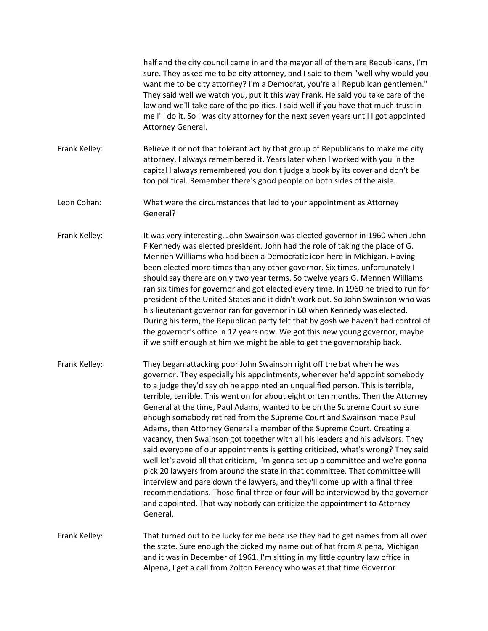|               | half and the city council came in and the mayor all of them are Republicans, I'm<br>sure. They asked me to be city attorney, and I said to them "well why would you<br>want me to be city attorney? I'm a Democrat, you're all Republican gentlemen."<br>They said well we watch you, put it this way Frank. He said you take care of the<br>law and we'll take care of the politics. I said well if you have that much trust in<br>me I'll do it. So I was city attorney for the next seven years until I got appointed<br>Attorney General.                                                                                                                                                                                                                                                                                                                                                                                                                                                                                                                                                                                                                    |
|---------------|------------------------------------------------------------------------------------------------------------------------------------------------------------------------------------------------------------------------------------------------------------------------------------------------------------------------------------------------------------------------------------------------------------------------------------------------------------------------------------------------------------------------------------------------------------------------------------------------------------------------------------------------------------------------------------------------------------------------------------------------------------------------------------------------------------------------------------------------------------------------------------------------------------------------------------------------------------------------------------------------------------------------------------------------------------------------------------------------------------------------------------------------------------------|
| Frank Kelley: | Believe it or not that tolerant act by that group of Republicans to make me city<br>attorney, I always remembered it. Years later when I worked with you in the<br>capital I always remembered you don't judge a book by its cover and don't be<br>too political. Remember there's good people on both sides of the aisle.                                                                                                                                                                                                                                                                                                                                                                                                                                                                                                                                                                                                                                                                                                                                                                                                                                       |
| Leon Cohan:   | What were the circumstances that led to your appointment as Attorney<br>General?                                                                                                                                                                                                                                                                                                                                                                                                                                                                                                                                                                                                                                                                                                                                                                                                                                                                                                                                                                                                                                                                                 |
| Frank Kelley: | It was very interesting. John Swainson was elected governor in 1960 when John<br>F Kennedy was elected president. John had the role of taking the place of G.<br>Mennen Williams who had been a Democratic icon here in Michigan. Having<br>been elected more times than any other governor. Six times, unfortunately I<br>should say there are only two year terms. So twelve years G. Mennen Williams<br>ran six times for governor and got elected every time. In 1960 he tried to run for<br>president of the United States and it didn't work out. So John Swainson who was<br>his lieutenant governor ran for governor in 60 when Kennedy was elected.<br>During his term, the Republican party felt that by gosh we haven't had control of<br>the governor's office in 12 years now. We got this new young governor, maybe<br>if we sniff enough at him we might be able to get the governorship back.                                                                                                                                                                                                                                                    |
| Frank Kelley: | They began attacking poor John Swainson right off the bat when he was<br>governor. They especially his appointments, whenever he'd appoint somebody<br>to a judge they'd say oh he appointed an unqualified person. This is terrible,<br>terrible, terrible. This went on for about eight or ten months. Then the Attorney<br>General at the time, Paul Adams, wanted to be on the Supreme Court so sure<br>enough somebody retired from the Supreme Court and Swainson made Paul<br>Adams, then Attorney General a member of the Supreme Court. Creating a<br>vacancy, then Swainson got together with all his leaders and his advisors. They<br>said everyone of our appointments is getting criticized, what's wrong? They said<br>well let's avoid all that criticism, I'm gonna set up a committee and we're gonna<br>pick 20 lawyers from around the state in that committee. That committee will<br>interview and pare down the lawyers, and they'll come up with a final three<br>recommendations. Those final three or four will be interviewed by the governor<br>and appointed. That way nobody can criticize the appointment to Attorney<br>General. |
| Frank Kelley: | That turned out to be lucky for me because they had to get names from all over<br>the state. Sure enough the picked my name out of hat from Alpena, Michigan<br>and it was in December of 1961. I'm sitting in my little country law office in<br>Alpena, I get a call from Zolton Ferency who was at that time Governor                                                                                                                                                                                                                                                                                                                                                                                                                                                                                                                                                                                                                                                                                                                                                                                                                                         |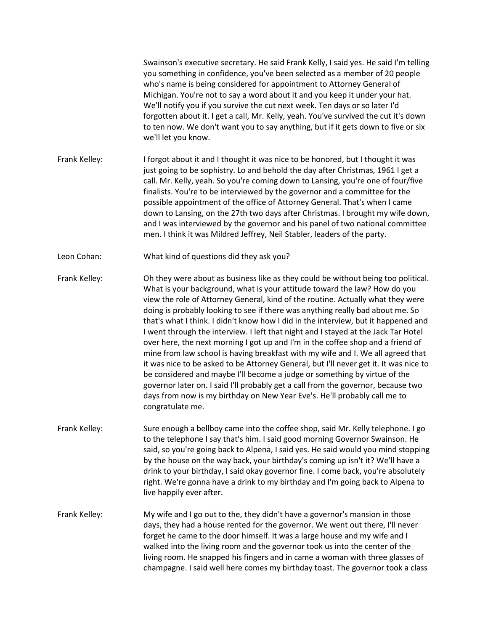Swainson's executive secretary. He said Frank Kelly, I said yes. He said I'm telling you something in confidence, you've been selected as a member of 20 people who's name is being considered for appointment to Attorney General of Michigan. You're not to say a word about it and you keep it under your hat. We'll notify you if you survive the cut next week. Ten days or so later I'd forgotten about it. I get a call, Mr. Kelly, yeah. You've survived the cut it's down to ten now. We don't want you to say anything, but if it gets down to five or six we'll let you know. Frank Kelley: I forgot about it and I thought it was nice to be honored, but I thought it was just going to be sophistry. Lo and behold the day after Christmas, 1961 I get a call. Mr. Kelly, yeah. So you're coming down to Lansing, you're one of four/five finalists. You're to be interviewed by the governor and a committee for the possible appointment of the office of Attorney General. That's when I came down to Lansing, on the 27th two days after Christmas. I brought my wife down, and I was interviewed by the governor and his panel of two national committee men. I think it was Mildred Jeffrey, Neil Stabler, leaders of the party. Leon Cohan: What kind of questions did they ask you? Frank Kelley: Oh they were about as business like as they could be without being too political. What is your background, what is your attitude toward the law? How do you view the role of Attorney General, kind of the routine. Actually what they were doing is probably looking to see if there was anything really bad about me. So that's what I think. I didn't know how I did in the interview, but it happened and I went through the interview. I left that night and I stayed at the Jack Tar Hotel over here, the next morning I got up and I'm in the coffee shop and a friend of mine from law school is having breakfast with my wife and I. We all agreed that it was nice to be asked to be Attorney General, but I'll never get it. It was nice to be considered and maybe I'll become a judge or something by virtue of the governor later on. I said I'll probably get a call from the governor, because two days from now is my birthday on New Year Eve's. He'll probably call me to congratulate me. Frank Kelley: Sure enough a bellboy came into the coffee shop, said Mr. Kelly telephone. I go to the telephone I say that's him. I said good morning Governor Swainson. He said, so you're going back to Alpena, I said yes. He said would you mind stopping by the house on the way back, your birthday's coming up isn't it? We'll have a drink to your birthday, I said okay governor fine. I come back, you're absolutely right. We're gonna have a drink to my birthday and I'm going back to Alpena to live happily ever after. Frank Kelley: My wife and I go out to the, they didn't have a governor's mansion in those days, they had a house rented for the governor. We went out there, I'll never forget he came to the door himself. It was a large house and my wife and I walked into the living room and the governor took us into the center of the living room. He snapped his fingers and in came a woman with three glasses of champagne. I said well here comes my birthday toast. The governor took a class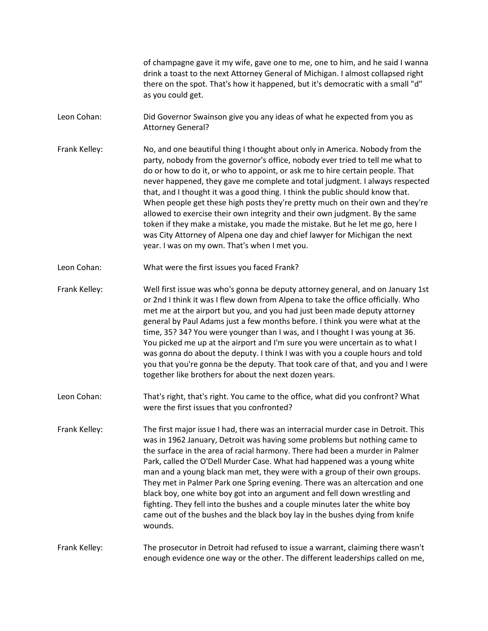of champagne gave it my wife, gave one to me, one to him, and he said I wanna drink a toast to the next Attorney General of Michigan. I almost collapsed right there on the spot. That's how it happened, but it's democratic with a small "d" as you could get.

- Leon Cohan: Did Governor Swainson give you any ideas of what he expected from you as Attorney General?
- Frank Kelley: No, and one beautiful thing I thought about only in America. Nobody from the party, nobody from the governor's office, nobody ever tried to tell me what to do or how to do it, or who to appoint, or ask me to hire certain people. That never happened, they gave me complete and total judgment. I always respected that, and I thought it was a good thing. I think the public should know that. When people get these high posts they're pretty much on their own and they're allowed to exercise their own integrity and their own judgment. By the same token if they make a mistake, you made the mistake. But he let me go, here I was City Attorney of Alpena one day and chief lawyer for Michigan the next year. I was on my own. That's when I met you.
- Leon Cohan: What were the first issues you faced Frank?
- Frank Kelley: Well first issue was who's gonna be deputy attorney general, and on January 1st or 2nd I think it was I flew down from Alpena to take the office officially. Who met me at the airport but you, and you had just been made deputy attorney general by Paul Adams just a few months before. I think you were what at the time, 35? 34? You were younger than I was, and I thought I was young at 36. You picked me up at the airport and I'm sure you were uncertain as to what I was gonna do about the deputy. I think I was with you a couple hours and told you that you're gonna be the deputy. That took care of that, and you and I were together like brothers for about the next dozen years.
- Leon Cohan: That's right, that's right. You came to the office, what did you confront? What were the first issues that you confronted?
- Frank Kelley: The first major issue I had, there was an interracial murder case in Detroit. This was in 1962 January, Detroit was having some problems but nothing came to the surface in the area of racial harmony. There had been a murder in Palmer Park, called the O'Dell Murder Case. What had happened was a young white man and a young black man met, they were with a group of their own groups. They met in Palmer Park one Spring evening. There was an altercation and one black boy, one white boy got into an argument and fell down wrestling and fighting. They fell into the bushes and a couple minutes later the white boy came out of the bushes and the black boy lay in the bushes dying from knife wounds.

Frank Kelley: The prosecutor in Detroit had refused to issue a warrant, claiming there wasn't enough evidence one way or the other. The different leaderships called on me,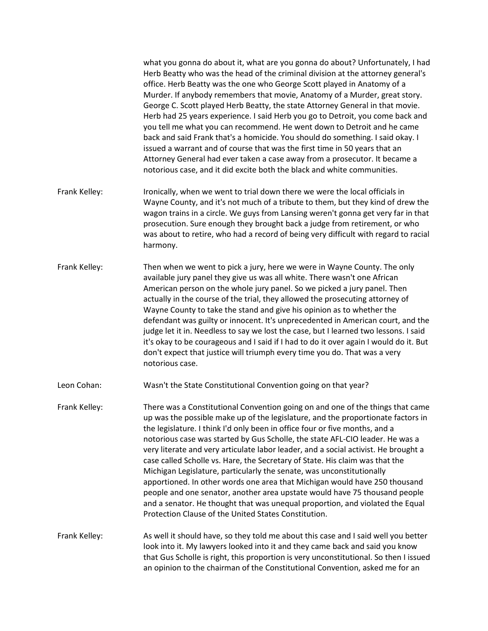what you gonna do about it, what are you gonna do about? Unfortunately, I had Herb Beatty who was the head of the criminal division at the attorney general's office. Herb Beatty was the one who George Scott played in Anatomy of a Murder. If anybody remembers that movie, Anatomy of a Murder, great story. George C. Scott played Herb Beatty, the state Attorney General in that movie. Herb had 25 years experience. I said Herb you go to Detroit, you come back and you tell me what you can recommend. He went down to Detroit and he came back and said Frank that's a homicide. You should do something. I said okay. I issued a warrant and of course that was the first time in 50 years that an Attorney General had ever taken a case away from a prosecutor. It became a notorious case, and it did excite both the black and white communities.

- Frank Kelley: Ironically, when we went to trial down there we were the local officials in Wayne County, and it's not much of a tribute to them, but they kind of drew the wagon trains in a circle. We guys from Lansing weren't gonna get very far in that prosecution. Sure enough they brought back a judge from retirement, or who was about to retire, who had a record of being very difficult with regard to racial harmony.
- Frank Kelley: Then when we went to pick a jury, here we were in Wayne County. The only available jury panel they give us was all white. There wasn't one African American person on the whole jury panel. So we picked a jury panel. Then actually in the course of the trial, they allowed the prosecuting attorney of Wayne County to take the stand and give his opinion as to whether the defendant was guilty or innocent. It's unprecedented in American court, and the judge let it in. Needless to say we lost the case, but I learned two lessons. I said it's okay to be courageous and I said if I had to do it over again I would do it. But don't expect that justice will triumph every time you do. That was a very notorious case.
- Leon Cohan: Wasn't the State Constitutional Convention going on that year?
- Frank Kelley: There was a Constitutional Convention going on and one of the things that came up was the possible make up of the legislature, and the proportionate factors in the legislature. I think I'd only been in office four or five months, and a notorious case was started by Gus Scholle, the state AFL-CIO leader. He was a very literate and very articulate labor leader, and a social activist. He brought a case called Scholle vs. Hare, the Secretary of State. His claim was that the Michigan Legislature, particularly the senate, was unconstitutionally apportioned. In other words one area that Michigan would have 250 thousand people and one senator, another area upstate would have 75 thousand people and a senator. He thought that was unequal proportion, and violated the Equal Protection Clause of the United States Constitution.

Frank Kelley: As well it should have, so they told me about this case and I said well you better look into it. My lawyers looked into it and they came back and said you know that Gus Scholle is right, this proportion is very unconstitutional. So then I issued an opinion to the chairman of the Constitutional Convention, asked me for an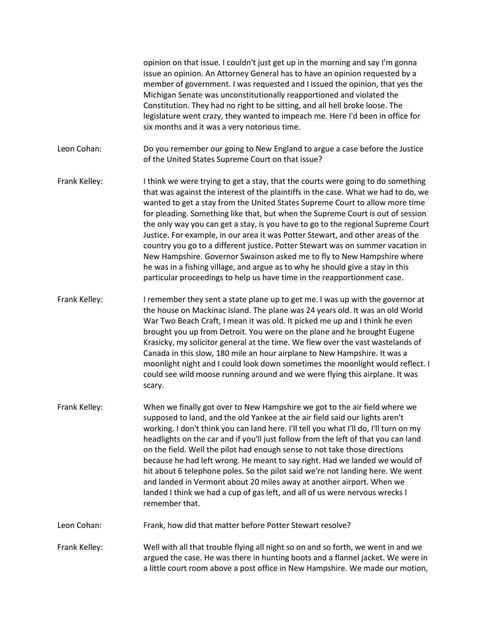opinion on that issue. I couldn't just get up in the morning and say I'm gonna issue an opinion. An Attorney General has to have an opinion requested by a member of government. I was requested and I issued the opinion, that yes the Michigan Senate was unconstitutionally reapportioned and violated the Constitution. They had no right to be sitting, and all hell broke loose. The legislature went crazy, they wanted to impeach me. Here I'd been in office for six months and it was a very notorious time.

Leon Cohan: Do you remember our going to New England to argue a case before the Justice of the United States Supreme Court on that issue?

- Frank Kelley: I think we were trying to get a stay, that the courts were going to do something that was against the interest of the plaintiffs in the case. What we had to do, we wanted to get a stay from the United States Supreme Court to allow more time for pleading. Something like that, but when the Supreme Court is out of session the only way you can get a stay, is you have to go to the regional Supreme Court Justice. For example, in our area it was Potter Stewart, and other areas of the country you go to a different justice. Potter Stewart was on summer vacation in New Hampshire. Governor Swainson asked me to fly to New Hampshire where he was in a fishing village, and argue as to why he should give a stay in this particular proceedings to help us have time in the reapportionment case.
- Frank Kelley: I remember they sent a state plane up to get me. I was up with the governor at the house on Mackinac Island. The plane was 24 years old. It was an old World War Two Beach Craft, I mean it was old. It picked me up and I think he even brought you up from Detroit. You were on the plane and he brought Eugene Krasicky, my solicitor general at the time. We flew over the vast wastelands of Canada in this slow, 180 mile an hour airplane to New Hampshire. It was a moonlight night and I could look down sometimes the moonlight would reflect. I could see wild moose running around and we were flying this airplane. It was scary.
- Frank Kelley: When we finally got over to New Hampshire we got to the air field where we supposed to land, and the old Yankee at the air field said our lights aren't working. I don't think you can land here. I'll tell you what I'll do, I'll turn on my headlights on the car and if you'll just follow from the left of that you can land on the field. Well the pilot had enough sense to not take those directions because he had left wrong. He meant to say right. Had we landed we would of hit about 6 telephone poles. So the pilot said we're not landing here. We went and landed in Vermont about 20 miles away at another airport. When we landed I think we had a cup of gas left, and all of us were nervous wrecks I remember that.

Leon Cohan: Frank, how did that matter before Potter Stewart resolve?

Frank Kelley: Well with all that trouble flying all night so on and so forth, we went in and we argued the case. He was there in hunting boots and a flannel jacket. We were in a little court room above a post office in New Hampshire. We made our motion,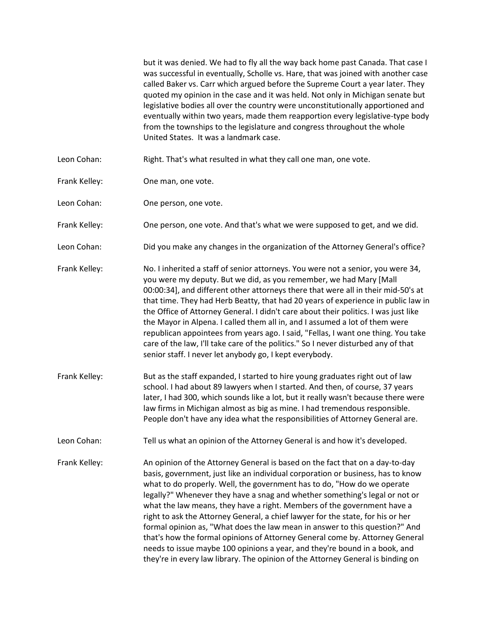but it was denied. We had to fly all the way back home past Canada. That case I was successful in eventually, Scholle vs. Hare, that was joined with another case called Baker vs. Carr which argued before the Supreme Court a year later. They quoted my opinion in the case and it was held. Not only in Michigan senate but legislative bodies all over the country were unconstitutionally apportioned and eventually within two years, made them reapportion every legislative-type body from the townships to the legislature and congress throughout the whole United States. It was a landmark case. Leon Cohan: Right. That's what resulted in what they call one man, one vote. Frank Kelley: One man, one vote. Leon Cohan: One person, one vote. Frank Kelley: One person, one vote. And that's what we were supposed to get, and we did. Leon Cohan: Did you make any changes in the organization of the Attorney General's office? Frank Kelley: No. I inherited a staff of senior attorneys. You were not a senior, you were 34, you were my deputy. But we did, as you remember, we had Mary [Mall 00:00:34], and different other attorneys there that were all in their mid-50's at that time. They had Herb Beatty, that had 20 years of experience in public law in the Office of Attorney General. I didn't care about their politics. I was just like the Mayor in Alpena. I called them all in, and I assumed a lot of them were republican appointees from years ago. I said, "Fellas, I want one thing. You take care of the law, I'll take care of the politics." So I never disturbed any of that senior staff. I never let anybody go, I kept everybody. Frank Kelley: But as the staff expanded, I started to hire young graduates right out of law school. I had about 89 lawyers when I started. And then, of course, 37 years later, I had 300, which sounds like a lot, but it really wasn't because there were law firms in Michigan almost as big as mine. I had tremendous responsible. People don't have any idea what the responsibilities of Attorney General are. Leon Cohan: Tell us what an opinion of the Attorney General is and how it's developed. Frank Kelley: An opinion of the Attorney General is based on the fact that on a day-to-day basis, government, just like an individual corporation or business, has to know what to do properly. Well, the government has to do, "How do we operate legally?" Whenever they have a snag and whether something's legal or not or what the law means, they have a right. Members of the government have a right to ask the Attorney General, a chief lawyer for the state, for his or her formal opinion as, "What does the law mean in answer to this question?" And that's how the formal opinions of Attorney General come by. Attorney General needs to issue maybe 100 opinions a year, and they're bound in a book, and they're in every law library. The opinion of the Attorney General is binding on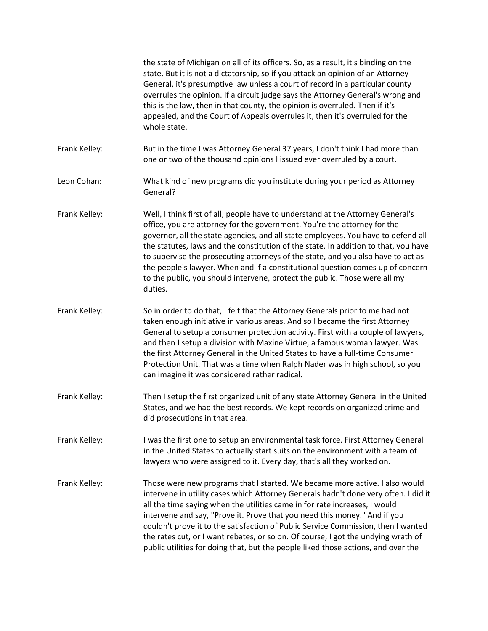|               | the state of Michigan on all of its officers. So, as a result, it's binding on the<br>state. But it is not a dictatorship, so if you attack an opinion of an Attorney<br>General, it's presumptive law unless a court of record in a particular county<br>overrules the opinion. If a circuit judge says the Attorney General's wrong and<br>this is the law, then in that county, the opinion is overruled. Then if it's<br>appealed, and the Court of Appeals overrules it, then it's overruled for the<br>whole state.                                                                              |
|---------------|--------------------------------------------------------------------------------------------------------------------------------------------------------------------------------------------------------------------------------------------------------------------------------------------------------------------------------------------------------------------------------------------------------------------------------------------------------------------------------------------------------------------------------------------------------------------------------------------------------|
| Frank Kelley: | But in the time I was Attorney General 37 years, I don't think I had more than<br>one or two of the thousand opinions I issued ever overruled by a court.                                                                                                                                                                                                                                                                                                                                                                                                                                              |
| Leon Cohan:   | What kind of new programs did you institute during your period as Attorney<br>General?                                                                                                                                                                                                                                                                                                                                                                                                                                                                                                                 |
| Frank Kelley: | Well, I think first of all, people have to understand at the Attorney General's<br>office, you are attorney for the government. You're the attorney for the<br>governor, all the state agencies, and all state employees. You have to defend all<br>the statutes, laws and the constitution of the state. In addition to that, you have<br>to supervise the prosecuting attorneys of the state, and you also have to act as<br>the people's lawyer. When and if a constitutional question comes up of concern<br>to the public, you should intervene, protect the public. Those were all my<br>duties. |
| Frank Kelley: | So in order to do that, I felt that the Attorney Generals prior to me had not<br>taken enough initiative in various areas. And so I became the first Attorney<br>General to setup a consumer protection activity. First with a couple of lawyers,<br>and then I setup a division with Maxine Virtue, a famous woman lawyer. Was<br>the first Attorney General in the United States to have a full-time Consumer<br>Protection Unit. That was a time when Ralph Nader was in high school, so you<br>can imagine it was considered rather radical.                                                       |
| Frank Kelley: | Then I setup the first organized unit of any state Attorney General in the United<br>States, and we had the best records. We kept records on organized crime and<br>did prosecutions in that area.                                                                                                                                                                                                                                                                                                                                                                                                     |
| Frank Kelley: | I was the first one to setup an environmental task force. First Attorney General<br>in the United States to actually start suits on the environment with a team of<br>lawyers who were assigned to it. Every day, that's all they worked on.                                                                                                                                                                                                                                                                                                                                                           |
| Frank Kelley: | Those were new programs that I started. We became more active. I also would<br>intervene in utility cases which Attorney Generals hadn't done very often. I did it<br>all the time saying when the utilities came in for rate increases, I would<br>intervene and say, "Prove it. Prove that you need this money." And if you<br>couldn't prove it to the satisfaction of Public Service Commission, then I wanted<br>the rates cut, or I want rebates, or so on. Of course, I got the undying wrath of<br>public utilities for doing that, but the people liked those actions, and over the           |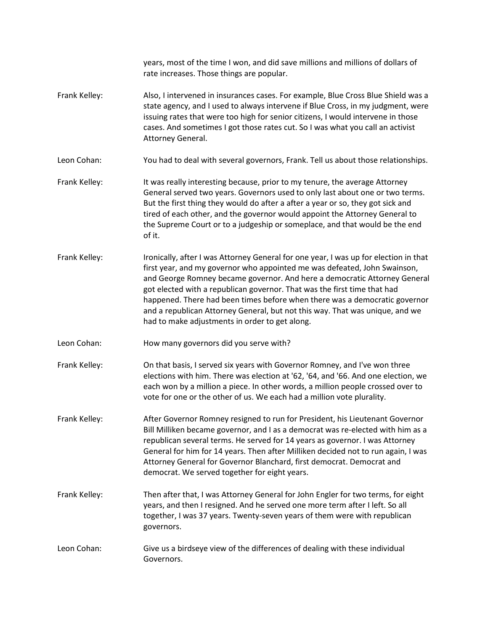|               | years, most of the time I won, and did save millions and millions of dollars of<br>rate increases. Those things are popular.                                                                                                                                                                                                                                                                                                                                                                                                               |
|---------------|--------------------------------------------------------------------------------------------------------------------------------------------------------------------------------------------------------------------------------------------------------------------------------------------------------------------------------------------------------------------------------------------------------------------------------------------------------------------------------------------------------------------------------------------|
| Frank Kelley: | Also, I intervened in insurances cases. For example, Blue Cross Blue Shield was a<br>state agency, and I used to always intervene if Blue Cross, in my judgment, were<br>issuing rates that were too high for senior citizens, I would intervene in those<br>cases. And sometimes I got those rates cut. So I was what you call an activist<br>Attorney General.                                                                                                                                                                           |
| Leon Cohan:   | You had to deal with several governors, Frank. Tell us about those relationships.                                                                                                                                                                                                                                                                                                                                                                                                                                                          |
| Frank Kelley: | It was really interesting because, prior to my tenure, the average Attorney<br>General served two years. Governors used to only last about one or two terms.<br>But the first thing they would do after a after a year or so, they got sick and<br>tired of each other, and the governor would appoint the Attorney General to<br>the Supreme Court or to a judgeship or someplace, and that would be the end<br>of it.                                                                                                                    |
| Frank Kelley: | Ironically, after I was Attorney General for one year, I was up for election in that<br>first year, and my governor who appointed me was defeated, John Swainson,<br>and George Romney became governor. And here a democratic Attorney General<br>got elected with a republican governor. That was the first time that had<br>happened. There had been times before when there was a democratic governor<br>and a republican Attorney General, but not this way. That was unique, and we<br>had to make adjustments in order to get along. |
| Leon Cohan:   | How many governors did you serve with?                                                                                                                                                                                                                                                                                                                                                                                                                                                                                                     |
| Frank Kelley: | On that basis, I served six years with Governor Romney, and I've won three<br>elections with him. There was election at '62, '64, and '66. And one election, we<br>each won by a million a piece. In other words, a million people crossed over to<br>vote for one or the other of us. We each had a million vote plurality.                                                                                                                                                                                                               |
| Frank Kelley: | After Governor Romney resigned to run for President, his Lieutenant Governor<br>Bill Milliken became governor, and I as a democrat was re-elected with him as a<br>republican several terms. He served for 14 years as governor. I was Attorney<br>General for him for 14 years. Then after Milliken decided not to run again, I was<br>Attorney General for Governor Blanchard, first democrat. Democrat and<br>democrat. We served together for eight years.                                                                             |
| Frank Kelley: | Then after that, I was Attorney General for John Engler for two terms, for eight<br>years, and then I resigned. And he served one more term after I left. So all<br>together, I was 37 years. Twenty-seven years of them were with republican<br>governors.                                                                                                                                                                                                                                                                                |
| Leon Cohan:   | Give us a birdseye view of the differences of dealing with these individual<br>Governors.                                                                                                                                                                                                                                                                                                                                                                                                                                                  |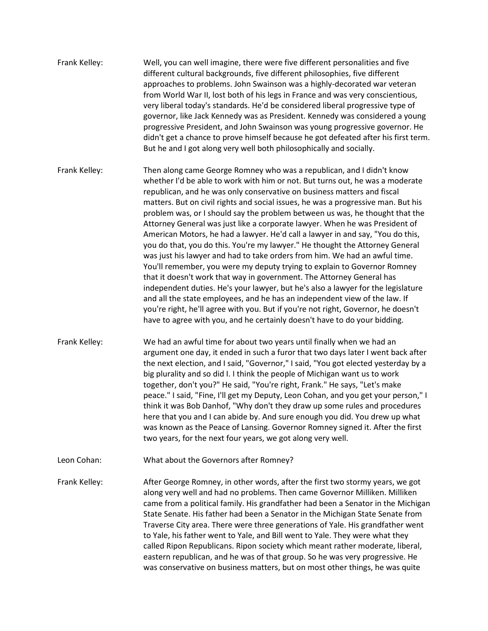- Frank Kelley: Well, you can well imagine, there were five different personalities and five different cultural backgrounds, five different philosophies, five different approaches to problems. John Swainson was a highly-decorated war veteran from World War II, lost both of his legs in France and was very conscientious, very liberal today's standards. He'd be considered liberal progressive type of governor, like Jack Kennedy was as President. Kennedy was considered a young progressive President, and John Swainson was young progressive governor. He didn't get a chance to prove himself because he got defeated after his first term. But he and I got along very well both philosophically and socially. Frank Kelley: Then along came George Romney who was a republican, and I didn't know whether I'd be able to work with him or not. But turns out, he was a moderate republican, and he was only conservative on business matters and fiscal matters. But on civil rights and social issues, he was a progressive man. But his problem was, or I should say the problem between us was, he thought that the Attorney General was just like a corporate lawyer. When he was President of American Motors, he had a lawyer. He'd call a lawyer in and say, "You do this, you do that, you do this. You're my lawyer." He thought the Attorney General was just his lawyer and had to take orders from him. We had an awful time. You'll remember, you were my deputy trying to explain to Governor Romney that it doesn't work that way in government. The Attorney General has independent duties. He's your lawyer, but he's also a lawyer for the legislature and all the state employees, and he has an independent view of the law. If you're right, he'll agree with you. But if you're not right, Governor, he doesn't
- Frank Kelley: We had an awful time for about two years until finally when we had an argument one day, it ended in such a furor that two days later I went back after the next election, and I said, "Governor," I said, "You got elected yesterday by a big plurality and so did I. I think the people of Michigan want us to work together, don't you?" He said, "You're right, Frank." He says, "Let's make peace." I said, "Fine, I'll get my Deputy, Leon Cohan, and you get your person," I think it was Bob Danhof, "Why don't they draw up some rules and procedures here that you and I can abide by. And sure enough you did. You drew up what was known as the Peace of Lansing. Governor Romney signed it. After the first two years, for the next four years, we got along very well.

have to agree with you, and he certainly doesn't have to do your bidding.

Leon Cohan: What about the Governors after Romney?

Frank Kelley: After George Romney, in other words, after the first two stormy years, we got along very well and had no problems. Then came Governor Milliken. Milliken came from a political family. His grandfather had been a Senator in the Michigan State Senate. His father had been a Senator in the Michigan State Senate from Traverse City area. There were three generations of Yale. His grandfather went to Yale, his father went to Yale, and Bill went to Yale. They were what they called Ripon Republicans. Ripon society which meant rather moderate, liberal, eastern republican, and he was of that group. So he was very progressive. He was conservative on business matters, but on most other things, he was quite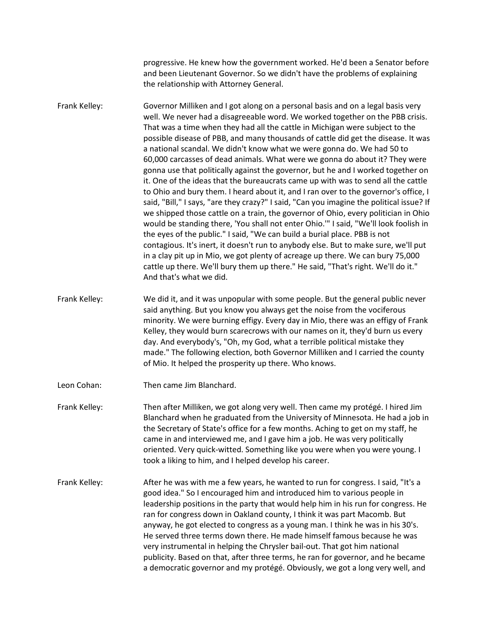progressive. He knew how the government worked. He'd been a Senator before and been Lieutenant Governor. So we didn't have the problems of explaining the relationship with Attorney General.

Frank Kelley: Governor Milliken and I got along on a personal basis and on a legal basis very well. We never had a disagreeable word. We worked together on the PBB crisis. That was a time when they had all the cattle in Michigan were subject to the possible disease of PBB, and many thousands of cattle did get the disease. It was a national scandal. We didn't know what we were gonna do. We had 50 to 60,000 carcasses of dead animals. What were we gonna do about it? They were gonna use that politically against the governor, but he and I worked together on it. One of the ideas that the bureaucrats came up with was to send all the cattle to Ohio and bury them. I heard about it, and I ran over to the governor's office, I said, "Bill," I says, "are they crazy?" I said, "Can you imagine the political issue? If we shipped those cattle on a train, the governor of Ohio, every politician in Ohio would be standing there, 'You shall not enter Ohio.'" I said, "We'll look foolish in the eyes of the public." I said, "We can build a burial place. PBB is not contagious. It's inert, it doesn't run to anybody else. But to make sure, we'll put in a clay pit up in Mio, we got plenty of acreage up there. We can bury 75,000 cattle up there. We'll bury them up there." He said, "That's right. We'll do it." And that's what we did.

Frank Kelley: We did it, and it was unpopular with some people. But the general public never said anything. But you know you always get the noise from the vociferous minority. We were burning effigy. Every day in Mio, there was an effigy of Frank Kelley, they would burn scarecrows with our names on it, they'd burn us every day. And everybody's, "Oh, my God, what a terrible political mistake they made." The following election, both Governor Milliken and I carried the county of Mio. It helped the prosperity up there. Who knows.

Leon Cohan: Then came Jim Blanchard.

Frank Kelley: Then after Milliken, we got along very well. Then came my protégé. I hired Jim Blanchard when he graduated from the University of Minnesota. He had a job in the Secretary of State's office for a few months. Aching to get on my staff, he came in and interviewed me, and I gave him a job. He was very politically oriented. Very quick-witted. Something like you were when you were young. I took a liking to him, and I helped develop his career.

Frank Kelley: After he was with me a few years, he wanted to run for congress. I said, "It's a good idea." So I encouraged him and introduced him to various people in leadership positions in the party that would help him in his run for congress. He ran for congress down in Oakland county, I think it was part Macomb. But anyway, he got elected to congress as a young man. I think he was in his 30's. He served three terms down there. He made himself famous because he was very instrumental in helping the Chrysler bail-out. That got him national publicity. Based on that, after three terms, he ran for governor, and he became a democratic governor and my protégé. Obviously, we got a long very well, and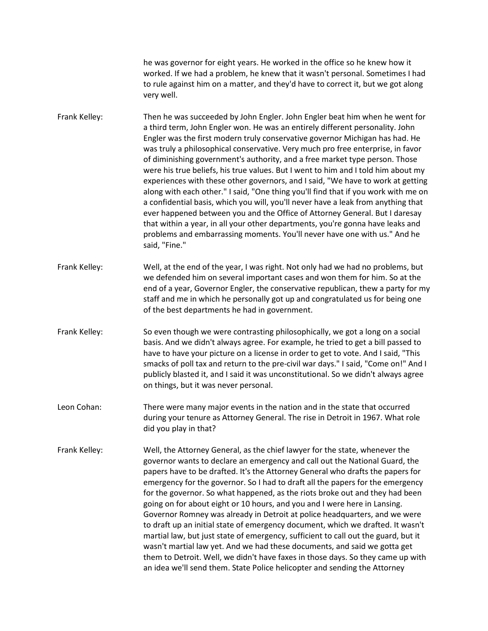he was governor for eight years. He worked in the office so he knew how it worked. If we had a problem, he knew that it wasn't personal. Sometimes I had to rule against him on a matter, and they'd have to correct it, but we got along very well.

Frank Kelley: Then he was succeeded by John Engler. John Engler beat him when he went for a third term, John Engler won. He was an entirely different personality. John Engler was the first modern truly conservative governor Michigan has had. He was truly a philosophical conservative. Very much pro free enterprise, in favor of diminishing government's authority, and a free market type person. Those were his true beliefs, his true values. But I went to him and I told him about my experiences with these other governors, and I said, "We have to work at getting along with each other." I said, "One thing you'll find that if you work with me on a confidential basis, which you will, you'll never have a leak from anything that ever happened between you and the Office of Attorney General. But I daresay that within a year, in all your other departments, you're gonna have leaks and problems and embarrassing moments. You'll never have one with us." And he said, "Fine."

- Frank Kelley: Well, at the end of the year, I was right. Not only had we had no problems, but we defended him on several important cases and won them for him. So at the end of a year, Governor Engler, the conservative republican, thew a party for my staff and me in which he personally got up and congratulated us for being one of the best departments he had in government.
- Frank Kelley: So even though we were contrasting philosophically, we got a long on a social basis. And we didn't always agree. For example, he tried to get a bill passed to have to have your picture on a license in order to get to vote. And I said, "This smacks of poll tax and return to the pre-civil war days." I said, "Come on!" And I publicly blasted it, and I said it was unconstitutional. So we didn't always agree on things, but it was never personal.
- Leon Cohan: There were many major events in the nation and in the state that occurred during your tenure as Attorney General. The rise in Detroit in 1967. What role did you play in that?
- Frank Kelley: Well, the Attorney General, as the chief lawyer for the state, whenever the governor wants to declare an emergency and call out the National Guard, the papers have to be drafted. It's the Attorney General who drafts the papers for emergency for the governor. So I had to draft all the papers for the emergency for the governor. So what happened, as the riots broke out and they had been going on for about eight or 10 hours, and you and I were here in Lansing. Governor Romney was already in Detroit at police headquarters, and we were to draft up an initial state of emergency document, which we drafted. It wasn't martial law, but just state of emergency, sufficient to call out the guard, but it wasn't martial law yet. And we had these documents, and said we gotta get them to Detroit. Well, we didn't have faxes in those days. So they came up with an idea we'll send them. State Police helicopter and sending the Attorney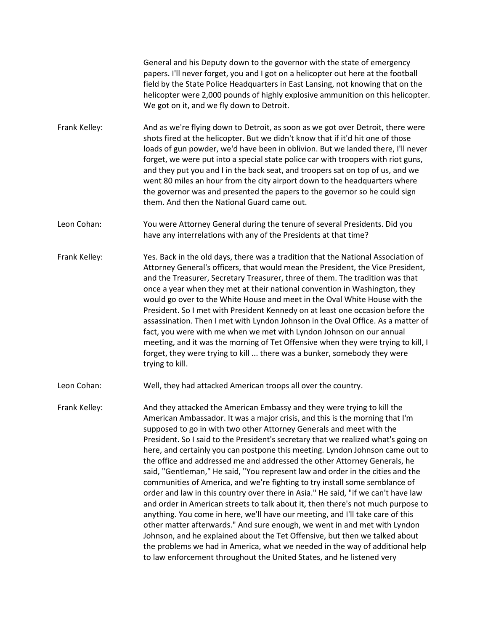General and his Deputy down to the governor with the state of emergency papers. I'll never forget, you and I got on a helicopter out here at the football field by the State Police Headquarters in East Lansing, not knowing that on the helicopter were 2,000 pounds of highly explosive ammunition on this helicopter. We got on it, and we fly down to Detroit.

- Frank Kelley: And as we're flying down to Detroit, as soon as we got over Detroit, there were shots fired at the helicopter. But we didn't know that if it'd hit one of those loads of gun powder, we'd have been in oblivion. But we landed there, I'll never forget, we were put into a special state police car with troopers with riot guns, and they put you and I in the back seat, and troopers sat on top of us, and we went 80 miles an hour from the city airport down to the headquarters where the governor was and presented the papers to the governor so he could sign them. And then the National Guard came out.
- Leon Cohan: You were Attorney General during the tenure of several Presidents. Did you have any interrelations with any of the Presidents at that time?
- Frank Kelley: Yes. Back in the old days, there was a tradition that the National Association of Attorney General's officers, that would mean the President, the Vice President, and the Treasurer, Secretary Treasurer, three of them. The tradition was that once a year when they met at their national convention in Washington, they would go over to the White House and meet in the Oval White House with the President. So I met with President Kennedy on at least one occasion before the assassination. Then I met with Lyndon Johnson in the Oval Office. As a matter of fact, you were with me when we met with Lyndon Johnson on our annual meeting, and it was the morning of Tet Offensive when they were trying to kill, I forget, they were trying to kill ... there was a bunker, somebody they were trying to kill.

Leon Cohan: Well, they had attacked American troops all over the country.

Frank Kelley: And they attacked the American Embassy and they were trying to kill the American Ambassador. It was a major crisis, and this is the morning that I'm supposed to go in with two other Attorney Generals and meet with the President. So I said to the President's secretary that we realized what's going on here, and certainly you can postpone this meeting. Lyndon Johnson came out to the office and addressed me and addressed the other Attorney Generals, he said, "Gentleman," He said, "You represent law and order in the cities and the communities of America, and we're fighting to try install some semblance of order and law in this country over there in Asia." He said, "if we can't have law and order in American streets to talk about it, then there's not much purpose to anything. You come in here, we'll have our meeting, and I'll take care of this other matter afterwards." And sure enough, we went in and met with Lyndon Johnson, and he explained about the Tet Offensive, but then we talked about the problems we had in America, what we needed in the way of additional help to law enforcement throughout the United States, and he listened very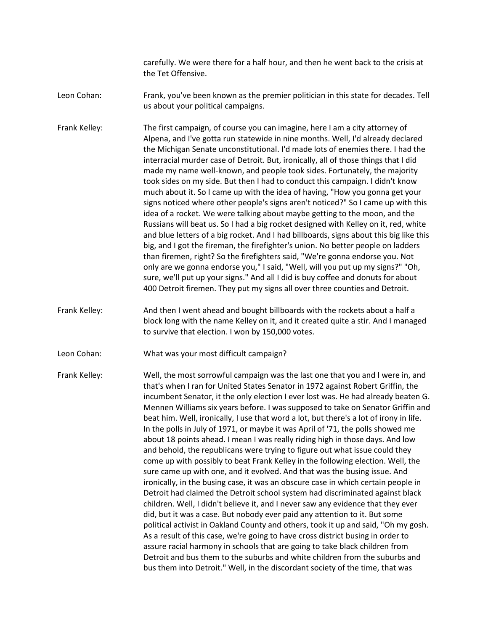carefully. We were there for a half hour, and then he went back to the crisis at the Tet Offensive.

Leon Cohan: Frank, you've been known as the premier politician in this state for decades. Tell us about your political campaigns.

Frank Kelley: The first campaign, of course you can imagine, here I am a city attorney of Alpena, and I've gotta run statewide in nine months. Well, I'd already declared the Michigan Senate unconstitutional. I'd made lots of enemies there. I had the interracial murder case of Detroit. But, ironically, all of those things that I did made my name well-known, and people took sides. Fortunately, the majority took sides on my side. But then I had to conduct this campaign. I didn't know much about it. So I came up with the idea of having, "How you gonna get your signs noticed where other people's signs aren't noticed?" So I came up with this idea of a rocket. We were talking about maybe getting to the moon, and the Russians will beat us. So I had a big rocket designed with Kelley on it, red, white and blue letters of a big rocket. And I had billboards, signs about this big like this big, and I got the fireman, the firefighter's union. No better people on ladders than firemen, right? So the firefighters said, "We're gonna endorse you. Not only are we gonna endorse you," I said, "Well, will you put up my signs?" "Oh, sure, we'll put up your signs." And all I did is buy coffee and donuts for about 400 Detroit firemen. They put my signs all over three counties and Detroit.

Frank Kelley: And then I went ahead and bought billboards with the rockets about a half a block long with the name Kelley on it, and it created quite a stir. And I managed to survive that election. I won by 150,000 votes.

Leon Cohan: What was your most difficult campaign?

Frank Kelley: Well, the most sorrowful campaign was the last one that you and I were in, and that's when I ran for United States Senator in 1972 against Robert Griffin, the incumbent Senator, it the only election I ever lost was. He had already beaten G. Mennen Williams six years before. I was supposed to take on Senator Griffin and beat him. Well, ironically, I use that word a lot, but there's a lot of irony in life. In the polls in July of 1971, or maybe it was April of '71, the polls showed me about 18 points ahead. I mean I was really riding high in those days. And low and behold, the republicans were trying to figure out what issue could they come up with possibly to beat Frank Kelley in the following election. Well, the sure came up with one, and it evolved. And that was the busing issue. And ironically, in the busing case, it was an obscure case in which certain people in Detroit had claimed the Detroit school system had discriminated against black children. Well, I didn't believe it, and I never saw any evidence that they ever did, but it was a case. But nobody ever paid any attention to it. But some political activist in Oakland County and others, took it up and said, "Oh my gosh. As a result of this case, we're going to have cross district busing in order to assure racial harmony in schools that are going to take black children from Detroit and bus them to the suburbs and white children from the suburbs and bus them into Detroit." Well, in the discordant society of the time, that was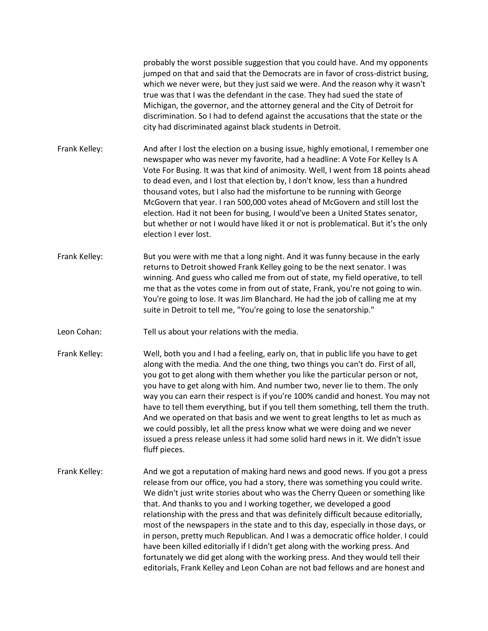probably the worst possible suggestion that you could have. And my opponents jumped on that and said that the Democrats are in favor of cross-district busing, which we never were, but they just said we were. And the reason why it wasn't true was that I was the defendant in the case. They had sued the state of Michigan, the governor, and the attorney general and the City of Detroit for discrimination. So I had to defend against the accusations that the state or the city had discriminated against black students in Detroit.

Frank Kelley: And after I lost the election on a busing issue, highly emotional, I remember one newspaper who was never my favorite, had a headline: A Vote For Kelley Is A Vote For Busing. It was that kind of animosity. Well, I went from 18 points ahead to dead even, and I lost that election by, I don't know, less than a hundred thousand votes, but I also had the misfortune to be running with George McGovern that year. I ran 500,000 votes ahead of McGovern and still lost the election. Had it not been for busing, I would've been a United States senator, but whether or not I would have liked it or not is problematical. But it's the only election I ever lost.

- Frank Kelley: But you were with me that a long night. And it was funny because in the early returns to Detroit showed Frank Kelley going to be the next senator. I was winning. And guess who called me from out of state, my field operative, to tell me that as the votes come in from out of state, Frank, you're not going to win. You're going to lose. It was Jim Blanchard. He had the job of calling me at my suite in Detroit to tell me, "You're going to lose the senatorship."
- Leon Cohan: Tell us about your relations with the media.
- Frank Kelley: Well, both you and I had a feeling, early on, that in public life you have to get along with the media. And the one thing, two things you can't do. First of all, you got to get along with them whether you like the particular person or not, you have to get along with him. And number two, never lie to them. The only way you can earn their respect is if you're 100% candid and honest. You may not have to tell them everything, but if you tell them something, tell them the truth. And we operated on that basis and we went to great lengths to let as much as we could possibly, let all the press know what we were doing and we never issued a press release unless it had some solid hard news in it. We didn't issue fluff pieces.
- Frank Kelley: And we got a reputation of making hard news and good news. If you got a press release from our office, you had a story, there was something you could write. We didn't just write stories about who was the Cherry Queen or something like that. And thanks to you and I working together, we developed a good relationship with the press and that was definitely difficult because editorially, most of the newspapers in the state and to this day, especially in those days, or in person, pretty much Republican. And I was a democratic office holder. I could have been killed editorially if I didn't get along with the working press. And fortunately we did get along with the working press. And they would tell their editorials, Frank Kelley and Leon Cohan are not bad fellows and are honest and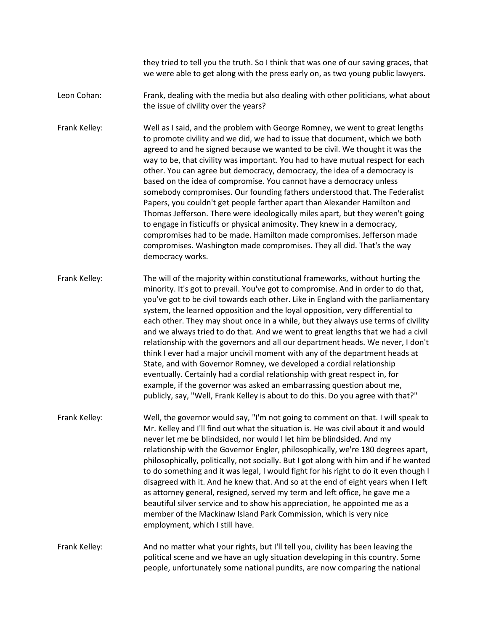they tried to tell you the truth. So I think that was one of our saving graces, that we were able to get along with the press early on, as two young public lawyers.

- Leon Cohan: Frank, dealing with the media but also dealing with other politicians, what about the issue of civility over the years?
- Frank Kelley: Well as I said, and the problem with George Romney, we went to great lengths to promote civility and we did, we had to issue that document, which we both agreed to and he signed because we wanted to be civil. We thought it was the way to be, that civility was important. You had to have mutual respect for each other. You can agree but democracy, democracy, the idea of a democracy is based on the idea of compromise. You cannot have a democracy unless somebody compromises. Our founding fathers understood that. The Federalist Papers, you couldn't get people farther apart than Alexander Hamilton and Thomas Jefferson. There were ideologically miles apart, but they weren't going to engage in fisticuffs or physical animosity. They knew in a democracy, compromises had to be made. Hamilton made compromises. Jefferson made compromises. Washington made compromises. They all did. That's the way democracy works.
- Frank Kelley: The will of the majority within constitutional frameworks, without hurting the minority. It's got to prevail. You've got to compromise. And in order to do that, you've got to be civil towards each other. Like in England with the parliamentary system, the learned opposition and the loyal opposition, very differential to each other. They may shout once in a while, but they always use terms of civility and we always tried to do that. And we went to great lengths that we had a civil relationship with the governors and all our department heads. We never, I don't think I ever had a major uncivil moment with any of the department heads at State, and with Governor Romney, we developed a cordial relationship eventually. Certainly had a cordial relationship with great respect in, for example, if the governor was asked an embarrassing question about me, publicly, say, "Well, Frank Kelley is about to do this. Do you agree with that?"
- Frank Kelley: Well, the governor would say, "I'm not going to comment on that. I will speak to Mr. Kelley and I'll find out what the situation is. He was civil about it and would never let me be blindsided, nor would I let him be blindsided. And my relationship with the Governor Engler, philosophically, we're 180 degrees apart, philosophically, politically, not socially. But I got along with him and if he wanted to do something and it was legal, I would fight for his right to do it even though I disagreed with it. And he knew that. And so at the end of eight years when I left as attorney general, resigned, served my term and left office, he gave me a beautiful silver service and to show his appreciation, he appointed me as a member of the Mackinaw Island Park Commission, which is very nice employment, which I still have.

## Frank Kelley: And no matter what your rights, but I'll tell you, civility has been leaving the political scene and we have an ugly situation developing in this country. Some people, unfortunately some national pundits, are now comparing the national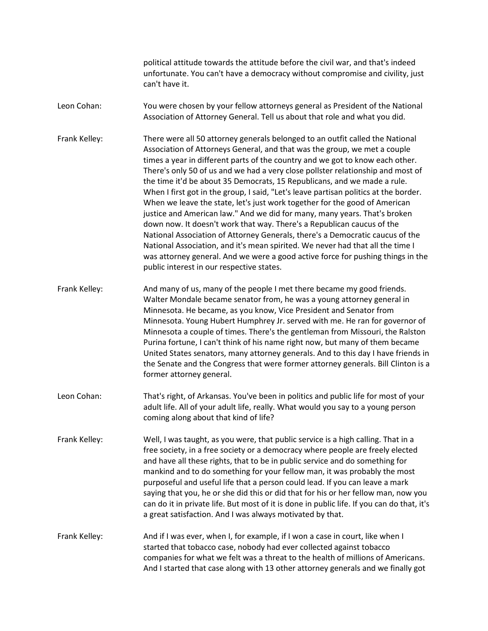political attitude towards the attitude before the civil war, and that's indeed unfortunate. You can't have a democracy without compromise and civility, just can't have it.

- Leon Cohan: You were chosen by your fellow attorneys general as President of the National Association of Attorney General. Tell us about that role and what you did.
- Frank Kelley: There were all 50 attorney generals belonged to an outfit called the National Association of Attorneys General, and that was the group, we met a couple times a year in different parts of the country and we got to know each other. There's only 50 of us and we had a very close pollster relationship and most of the time it'd be about 35 Democrats, 15 Republicans, and we made a rule. When I first got in the group, I said, "Let's leave partisan politics at the border. When we leave the state, let's just work together for the good of American justice and American law." And we did for many, many years. That's broken down now. It doesn't work that way. There's a Republican caucus of the National Association of Attorney Generals, there's a Democratic caucus of the National Association, and it's mean spirited. We never had that all the time I was attorney general. And we were a good active force for pushing things in the public interest in our respective states.
- Frank Kelley: And many of us, many of the people I met there became my good friends. Walter Mondale became senator from, he was a young attorney general in Minnesota. He became, as you know, Vice President and Senator from Minnesota. Young Hubert Humphrey Jr. served with me. He ran for governor of Minnesota a couple of times. There's the gentleman from Missouri, the Ralston Purina fortune, I can't think of his name right now, but many of them became United States senators, many attorney generals. And to this day I have friends in the Senate and the Congress that were former attorney generals. Bill Clinton is a former attorney general.
- Leon Cohan: That's right, of Arkansas. You've been in politics and public life for most of your adult life. All of your adult life, really. What would you say to a young person coming along about that kind of life?
- Frank Kelley: Well, I was taught, as you were, that public service is a high calling. That in a free society, in a free society or a democracy where people are freely elected and have all these rights, that to be in public service and do something for mankind and to do something for your fellow man, it was probably the most purposeful and useful life that a person could lead. If you can leave a mark saying that you, he or she did this or did that for his or her fellow man, now you can do it in private life. But most of it is done in public life. If you can do that, it's a great satisfaction. And I was always motivated by that.
- Frank Kelley: And if I was ever, when I, for example, if I won a case in court, like when I started that tobacco case, nobody had ever collected against tobacco companies for what we felt was a threat to the health of millions of Americans. And I started that case along with 13 other attorney generals and we finally got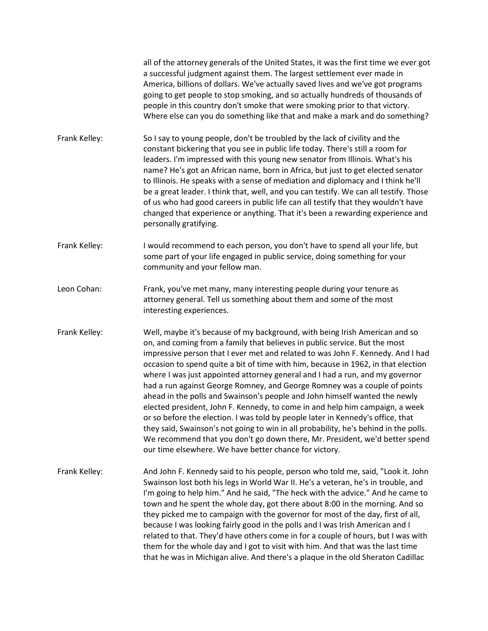all of the attorney generals of the United States, it was the first time we ever got a successful judgment against them. The largest settlement ever made in America, billions of dollars. We've actually saved lives and we've got programs going to get people to stop smoking, and so actually hundreds of thousands of people in this country don't smoke that were smoking prior to that victory. Where else can you do something like that and make a mark and do something?

- Frank Kelley: So I say to young people, don't be troubled by the lack of civility and the constant bickering that you see in public life today. There's still a room for leaders. I'm impressed with this young new senator from Illinois. What's his name? He's got an African name, born in Africa, but just to get elected senator to Illinois. He speaks with a sense of mediation and diplomacy and I think he'll be a great leader. I think that, well, and you can testify. We can all testify. Those of us who had good careers in public life can all testify that they wouldn't have changed that experience or anything. That it's been a rewarding experience and personally gratifying.
- Frank Kelley: I would recommend to each person, you don't have to spend all your life, but some part of your life engaged in public service, doing something for your community and your fellow man.
- Leon Cohan: Frank, you've met many, many interesting people during your tenure as attorney general. Tell us something about them and some of the most interesting experiences.
- Frank Kelley: Well, maybe it's because of my background, with being Irish American and so on, and coming from a family that believes in public service. But the most impressive person that I ever met and related to was John F. Kennedy. And I had occasion to spend quite a bit of time with him, because in 1962, in that election where I was just appointed attorney general and I had a run, and my governor had a run against George Romney, and George Romney was a couple of points ahead in the polls and Swainson's people and John himself wanted the newly elected president, John F. Kennedy, to come in and help him campaign, a week or so before the election. I was told by people later in Kennedy's office, that they said, Swainson's not going to win in all probability, he's behind in the polls. We recommend that you don't go down there, Mr. President, we'd better spend our time elsewhere. We have better chance for victory.
- Frank Kelley: And John F. Kennedy said to his people, person who told me, said, "Look it. John Swainson lost both his legs in World War II. He's a veteran, he's in trouble, and I'm going to help him." And he said, "The heck with the advice." And he came to town and he spent the whole day, got there about 8:00 in the morning. And so they picked me to campaign with the governor for most of the day, first of all, because I was looking fairly good in the polls and I was Irish American and I related to that. They'd have others come in for a couple of hours, but I was with them for the whole day and I got to visit with him. And that was the last time that he was in Michigan alive. And there's a plaque in the old Sheraton Cadillac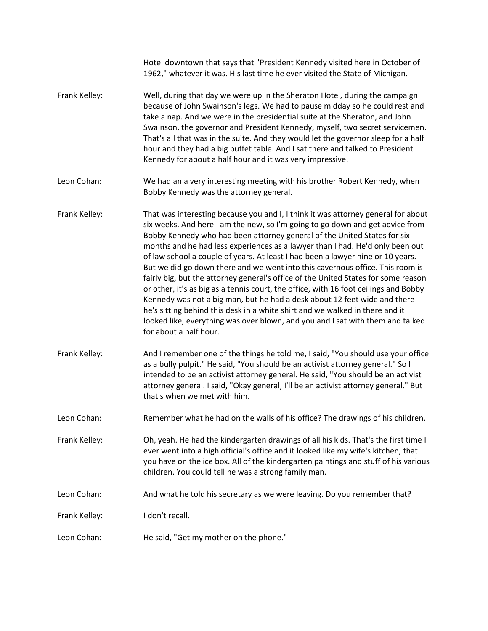|               | Hotel downtown that says that "President Kennedy visited here in October of<br>1962," whatever it was. His last time he ever visited the State of Michigan.                                                                                                                                                                                                                                                                                                                                                                                                                                                                                                                                                                                                                                                                                                                                                                                                |
|---------------|------------------------------------------------------------------------------------------------------------------------------------------------------------------------------------------------------------------------------------------------------------------------------------------------------------------------------------------------------------------------------------------------------------------------------------------------------------------------------------------------------------------------------------------------------------------------------------------------------------------------------------------------------------------------------------------------------------------------------------------------------------------------------------------------------------------------------------------------------------------------------------------------------------------------------------------------------------|
| Frank Kelley: | Well, during that day we were up in the Sheraton Hotel, during the campaign<br>because of John Swainson's legs. We had to pause midday so he could rest and<br>take a nap. And we were in the presidential suite at the Sheraton, and John<br>Swainson, the governor and President Kennedy, myself, two secret servicemen.<br>That's all that was in the suite. And they would let the governor sleep for a half<br>hour and they had a big buffet table. And I sat there and talked to President<br>Kennedy for about a half hour and it was very impressive.                                                                                                                                                                                                                                                                                                                                                                                             |
| Leon Cohan:   | We had an a very interesting meeting with his brother Robert Kennedy, when<br>Bobby Kennedy was the attorney general.                                                                                                                                                                                                                                                                                                                                                                                                                                                                                                                                                                                                                                                                                                                                                                                                                                      |
| Frank Kelley: | That was interesting because you and I, I think it was attorney general for about<br>six weeks. And here I am the new, so I'm going to go down and get advice from<br>Bobby Kennedy who had been attorney general of the United States for six<br>months and he had less experiences as a lawyer than I had. He'd only been out<br>of law school a couple of years. At least I had been a lawyer nine or 10 years.<br>But we did go down there and we went into this cavernous office. This room is<br>fairly big, but the attorney general's office of the United States for some reason<br>or other, it's as big as a tennis court, the office, with 16 foot ceilings and Bobby<br>Kennedy was not a big man, but he had a desk about 12 feet wide and there<br>he's sitting behind this desk in a white shirt and we walked in there and it<br>looked like, everything was over blown, and you and I sat with them and talked<br>for about a half hour. |
| Frank Kelley: | And I remember one of the things he told me, I said, "You should use your office<br>as a bully pulpit." He said, "You should be an activist attorney general." So I<br>intended to be an activist attorney general. He said, "You should be an activist<br>attorney general. I said, "Okay general, I'll be an activist attorney general." But<br>that's when we met with him.                                                                                                                                                                                                                                                                                                                                                                                                                                                                                                                                                                             |
| Leon Cohan:   | Remember what he had on the walls of his office? The drawings of his children.                                                                                                                                                                                                                                                                                                                                                                                                                                                                                                                                                                                                                                                                                                                                                                                                                                                                             |
| Frank Kelley: | Oh, yeah. He had the kindergarten drawings of all his kids. That's the first time I<br>ever went into a high official's office and it looked like my wife's kitchen, that<br>you have on the ice box. All of the kindergarten paintings and stuff of his various<br>children. You could tell he was a strong family man.                                                                                                                                                                                                                                                                                                                                                                                                                                                                                                                                                                                                                                   |
| Leon Cohan:   | And what he told his secretary as we were leaving. Do you remember that?                                                                                                                                                                                                                                                                                                                                                                                                                                                                                                                                                                                                                                                                                                                                                                                                                                                                                   |
| Frank Kelley: | I don't recall.                                                                                                                                                                                                                                                                                                                                                                                                                                                                                                                                                                                                                                                                                                                                                                                                                                                                                                                                            |
| Leon Cohan:   | He said, "Get my mother on the phone."                                                                                                                                                                                                                                                                                                                                                                                                                                                                                                                                                                                                                                                                                                                                                                                                                                                                                                                     |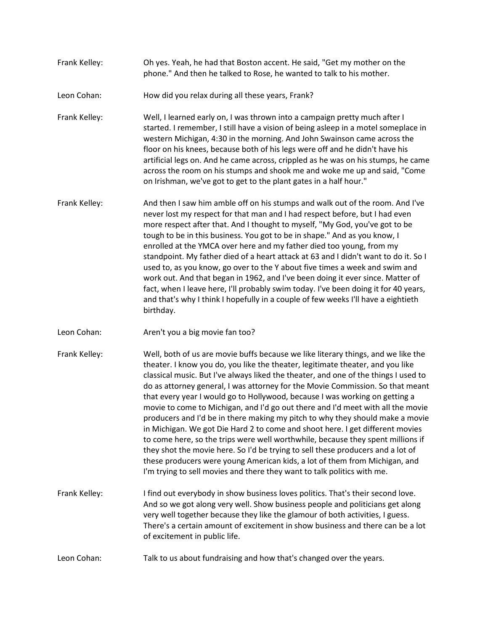- Frank Kelley: Oh yes. Yeah, he had that Boston accent. He said, "Get my mother on the phone." And then he talked to Rose, he wanted to talk to his mother.
- Leon Cohan: How did you relax during all these years, Frank?

Frank Kelley: Well, I learned early on, I was thrown into a campaign pretty much after I started. I remember, I still have a vision of being asleep in a motel someplace in western Michigan, 4:30 in the morning. And John Swainson came across the floor on his knees, because both of his legs were off and he didn't have his artificial legs on. And he came across, crippled as he was on his stumps, he came across the room on his stumps and shook me and woke me up and said, "Come on Irishman, we've got to get to the plant gates in a half hour."

- Frank Kelley: And then I saw him amble off on his stumps and walk out of the room. And I've never lost my respect for that man and I had respect before, but I had even more respect after that. And I thought to myself, "My God, you've got to be tough to be in this business. You got to be in shape." And as you know, I enrolled at the YMCA over here and my father died too young, from my standpoint. My father died of a heart attack at 63 and I didn't want to do it. So I used to, as you know, go over to the Y about five times a week and swim and work out. And that began in 1962, and I've been doing it ever since. Matter of fact, when I leave here, I'll probably swim today. I've been doing it for 40 years, and that's why I think I hopefully in a couple of few weeks I'll have a eightieth birthday.
- Leon Cohan: Aren't you a big movie fan too?
- Frank Kelley: Well, both of us are movie buffs because we like literary things, and we like the theater. I know you do, you like the theater, legitimate theater, and you like classical music. But I've always liked the theater, and one of the things I used to do as attorney general, I was attorney for the Movie Commission. So that meant that every year I would go to Hollywood, because I was working on getting a movie to come to Michigan, and I'd go out there and I'd meet with all the movie producers and I'd be in there making my pitch to why they should make a movie in Michigan. We got Die Hard 2 to come and shoot here. I get different movies to come here, so the trips were well worthwhile, because they spent millions if they shot the movie here. So I'd be trying to sell these producers and a lot of these producers were young American kids, a lot of them from Michigan, and I'm trying to sell movies and there they want to talk politics with me.
- Frank Kelley: I find out everybody in show business loves politics. That's their second love. And so we got along very well. Show business people and politicians get along very well together because they like the glamour of both activities, I guess. There's a certain amount of excitement in show business and there can be a lot of excitement in public life.
- Leon Cohan: Talk to us about fundraising and how that's changed over the years.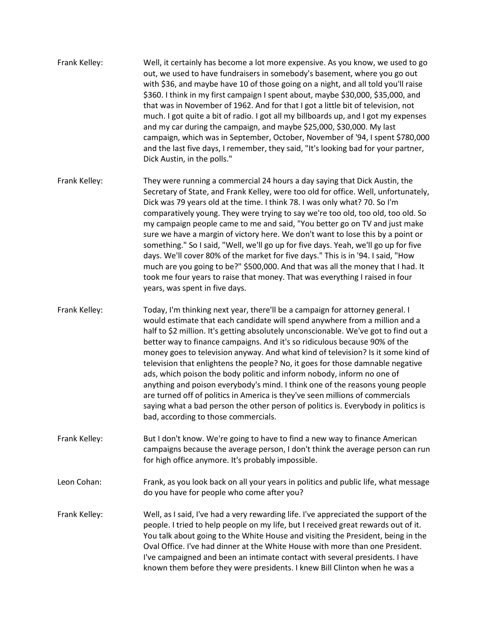- Frank Kelley: Well, it certainly has become a lot more expensive. As you know, we used to go out, we used to have fundraisers in somebody's basement, where you go out with \$36, and maybe have 10 of those going on a night, and all told you'll raise \$360. I think in my first campaign I spent about, maybe \$30,000, \$35,000, and that was in November of 1962. And for that I got a little bit of television, not much. I got quite a bit of radio. I got all my billboards up, and I got my expenses and my car during the campaign, and maybe \$25,000, \$30,000. My last campaign, which was in September, October, November of '94, I spent \$780,000 and the last five days, I remember, they said, "It's looking bad for your partner, Dick Austin, in the polls."
- Frank Kelley: They were running a commercial 24 hours a day saying that Dick Austin, the Secretary of State, and Frank Kelley, were too old for office. Well, unfortunately, Dick was 79 years old at the time. I think 78. I was only what? 70. So I'm comparatively young. They were trying to say we're too old, too old, too old. So my campaign people came to me and said, "You better go on TV and just make sure we have a margin of victory here. We don't want to lose this by a point or something." So I said, "Well, we'll go up for five days. Yeah, we'll go up for five days. We'll cover 80% of the market for five days." This is in '94. I said, "How much are you going to be?" \$500,000. And that was all the money that I had. It took me four years to raise that money. That was everything I raised in four years, was spent in five days.
- Frank Kelley: Today, I'm thinking next year, there'll be a campaign for attorney general. I would estimate that each candidate will spend anywhere from a million and a half to \$2 million. It's getting absolutely unconscionable. We've got to find out a better way to finance campaigns. And it's so ridiculous because 90% of the money goes to television anyway. And what kind of television? Is it some kind of television that enlightens the people? No, it goes for those damnable negative ads, which poison the body politic and inform nobody, inform no one of anything and poison everybody's mind. I think one of the reasons young people are turned off of politics in America is they've seen millions of commercials saying what a bad person the other person of politics is. Everybody in politics is bad, according to those commercials.
- Frank Kelley: But I don't know. We're going to have to find a new way to finance American campaigns because the average person, I don't think the average person can run for high office anymore. It's probably impossible.
- Leon Cohan: Frank, as you look back on all your years in politics and public life, what message do you have for people who come after you?
- Frank Kelley: Well, as I said, I've had a very rewarding life. I've appreciated the support of the people. I tried to help people on my life, but I received great rewards out of it. You talk about going to the White House and visiting the President, being in the Oval Office. I've had dinner at the White House with more than one President. I've campaigned and been an intimate contact with several presidents. I have known them before they were presidents. I knew Bill Clinton when he was a